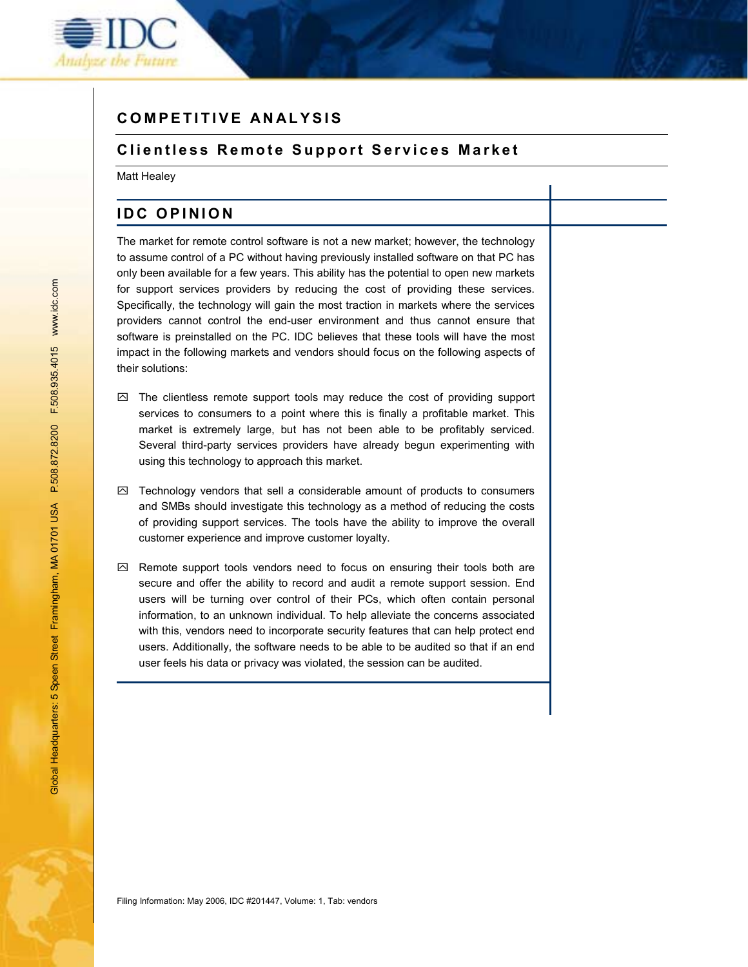

# **COMPETITIVE ANALYSIS**

### **Clientless Remote Support Services Market**

Matt Healey

## **IDC OPINION**

The market for remote control software is not a new market; however, the technology to assume control of a PC without having previously installed software on that PC has only been available for a few years. This ability has the potential to open new markets for support services providers by reducing the cost of providing these services. Specifically, the technology will gain the most traction in markets where the services providers cannot control the end-user environment and thus cannot ensure that software is preinstalled on the PC. IDC believes that these tools will have the most impact in the following markets and vendors should focus on the following aspects of their solutions:

- $\boxtimes$  The clientless remote support tools may reduce the cost of providing support services to consumers to a point where this is finally a profitable market. This market is extremely large, but has not been able to be profitably serviced. Several third-party services providers have already begun experimenting with using this technology to approach this market.
- $\boxtimes$  Technology vendors that sell a considerable amount of products to consumers and SMBs should investigate this technology as a method of reducing the costs of providing support services. The tools have the ability to improve the overall customer experience and improve customer loyalty.
- $\boxtimes$  Remote support tools vendors need to focus on ensuring their tools both are secure and offer the ability to record and audit a remote support session. End users will be turning over control of their PCs, which often contain personal information, to an unknown individual. To help alleviate the concerns associated with this, vendors need to incorporate security features that can help protect end users. Additionally, the software needs to be able to be audited so that if an end user feels his data or privacy was violated, the session can be audited.

Filing Information: May 2006, IDC #201447, Volume: 1, Tab: vendors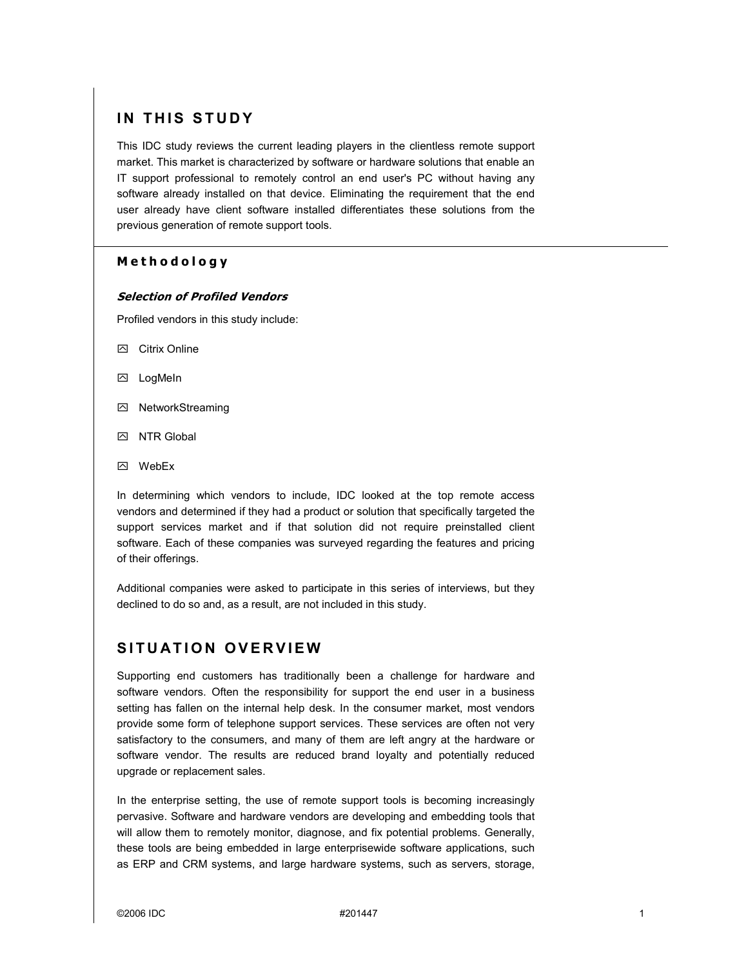# **IN THIS STUDY**

This IDC study reviews the current leading players in the clientless remote support market. This market is characterized by software or hardware solutions that enable an IT support professional to remotely control an end user's PC without having any software already installed on that device. Eliminating the requirement that the end user already have client software installed differentiates these solutions from the previous generation of remote support tools.

## **Methodology**

#### **Selection of Profiled Vendors**

Profiled vendors in this study include:

- **8** Citrix Online
- **2** LogMeIn
- **因 NetworkStreaming**
- **IN NTR Global**
- **因** WebEx

In determining which vendors to include, IDC looked at the top remote access vendors and determined if they had a product or solution that specifically targeted the support services market and if that solution did not require preinstalled client software. Each of these companies was surveyed regarding the features and pricing of their offerings.

Additional companies were asked to participate in this series of interviews, but they declined to do so and, as a result, are not included in this study.

# **SITUATION OVERVIEW**

Supporting end customers has traditionally been a challenge for hardware and software vendors. Often the responsibility for support the end user in a business setting has fallen on the internal help desk. In the consumer market, most vendors provide some form of telephone support services. These services are often not very satisfactory to the consumers, and many of them are left angry at the hardware or software vendor. The results are reduced brand loyalty and potentially reduced upgrade or replacement sales.

In the enterprise setting, the use of remote support tools is becoming increasingly pervasive. Software and hardware vendors are developing and embedding tools that will allow them to remotely monitor, diagnose, and fix potential problems. Generally, these tools are being embedded in large enterprisewide software applications, such as ERP and CRM systems, and large hardware systems, such as servers, storage,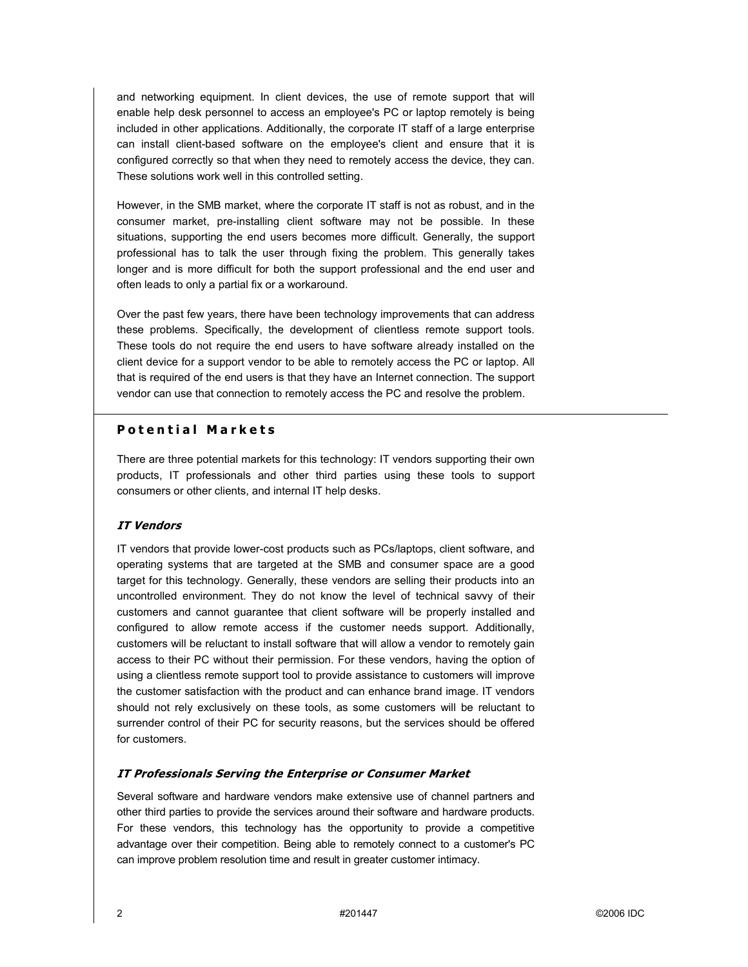and networking equipment. In client devices, the use of remote support that will enable help desk personnel to access an employee's PC or laptop remotely is being included in other applications. Additionally, the corporate IT staff of a large enterprise can install client-based software on the employee's client and ensure that it is configured correctly so that when they need to remotely access the device, they can. These solutions work well in this controlled setting.

However, in the SMB market, where the corporate IT staff is not as robust, and in the consumer market, pre-installing client software may not be possible. In these situations, supporting the end users becomes more difficult. Generally, the support professional has to talk the user through fixing the problem. This generally takes longer and is more difficult for both the support professional and the end user and often leads to only a partial fix or a workaround.

Over the past few years, there have been technology improvements that can address these problems. Specifically, the development of clientless remote support tools. These tools do not require the end users to have software already installed on the client device for a support vendor to be able to remotely access the PC or laptop. All that is required of the end users is that they have an Internet connection. The support vendor can use that connection to remotely access the PC and resolve the problem.

#### **Potential Markets**

There are three potential markets for this technology: IT vendors supporting their own products, IT professionals and other third parties using these tools to support consumers or other clients, and internal IT help desks.

#### **IT Vendors**

IT vendors that provide lower-cost products such as PCs/laptops, client software, and operating systems that are targeted at the SMB and consumer space are a good target for this technology. Generally, these vendors are selling their products into an uncontrolled environment. They do not know the level of technical savvy of their customers and cannot guarantee that client software will be properly installed and configured to allow remote access if the customer needs support. Additionally, customers will be reluctant to install software that will allow a vendor to remotely gain access to their PC without their permission. For these vendors, having the option of using a clientless remote support tool to provide assistance to customers will improve the customer satisfaction with the product and can enhance brand image. IT vendors should not rely exclusively on these tools, as some customers will be reluctant to surrender control of their PC for security reasons, but the services should be offered for customers.

#### **IT Professionals Serving the Enterprise or Consumer Market**

Several software and hardware vendors make extensive use of channel partners and other third parties to provide the services around their software and hardware products. For these vendors, this technology has the opportunity to provide a competitive advantage over their competition. Being able to remotely connect to a customer's PC can improve problem resolution time and result in greater customer intimacy.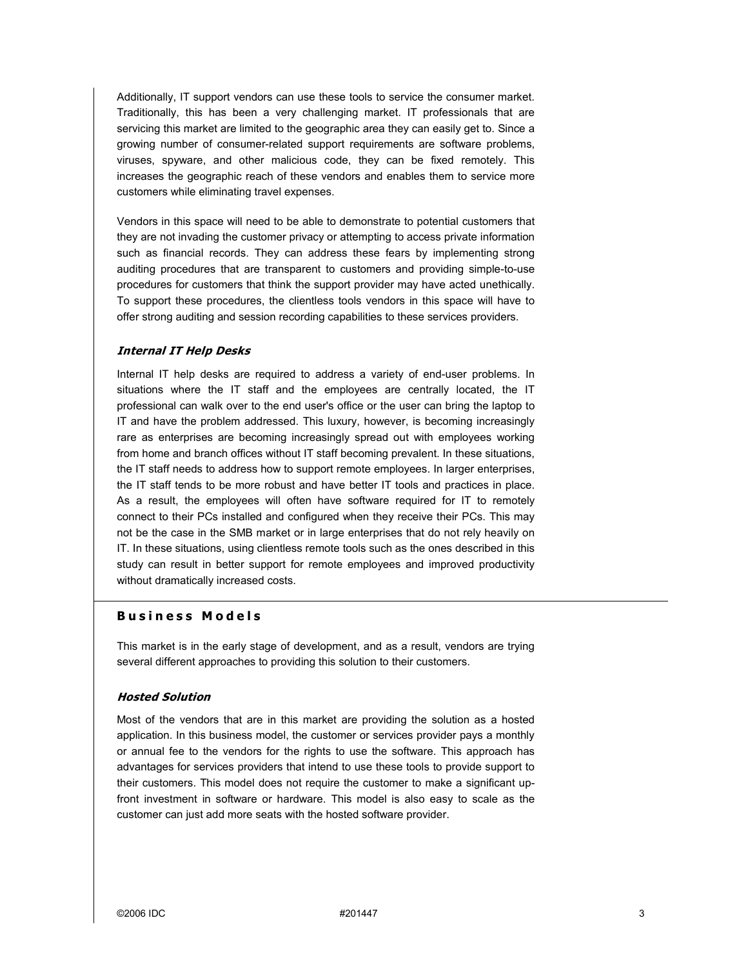Additionally, IT support vendors can use these tools to service the consumer market. Traditionally, this has been a very challenging market. IT professionals that are servicing this market are limited to the geographic area they can easily get to. Since a growing number of consumer-related support requirements are software problems, viruses, spyware, and other malicious code, they can be fixed remotely. This increases the geographic reach of these vendors and enables them to service more customers while eliminating travel expenses.

Vendors in this space will need to be able to demonstrate to potential customers that they are not invading the customer privacy or attempting to access private information such as financial records. They can address these fears by implementing strong auditing procedures that are transparent to customers and providing simple-to-use procedures for customers that think the support provider may have acted unethically. To support these procedures, the clientless tools vendors in this space will have to offer strong auditing and session recording capabilities to these services providers.

#### **Internal IT Help Desks**

Internal IT help desks are required to address a variety of end-user problems. In situations where the IT staff and the employees are centrally located, the IT professional can walk over to the end user's office or the user can bring the laptop to IT and have the problem addressed. This luxury, however, is becoming increasingly rare as enterprises are becoming increasingly spread out with employees working from home and branch offices without IT staff becoming prevalent. In these situations, the IT staff needs to address how to support remote employees. In larger enterprises, the IT staff tends to be more robust and have better IT tools and practices in place. As a result, the employees will often have software required for IT to remotely connect to their PCs installed and configured when they receive their PCs. This may not be the case in the SMB market or in large enterprises that do not rely heavily on IT. In these situations, using clientless remote tools such as the ones described in this study can result in better support for remote employees and improved productivity without dramatically increased costs.

#### **Business Models**

This market is in the early stage of development, and as a result, vendors are trying several different approaches to providing this solution to their customers.

#### **Hosted Solution**

Most of the vendors that are in this market are providing the solution as a hosted application. In this business model, the customer or services provider pays a monthly or annual fee to the vendors for the rights to use the software. This approach has advantages for services providers that intend to use these tools to provide support to their customers. This model does not require the customer to make a significant upfront investment in software or hardware. This model is also easy to scale as the customer can just add more seats with the hosted software provider.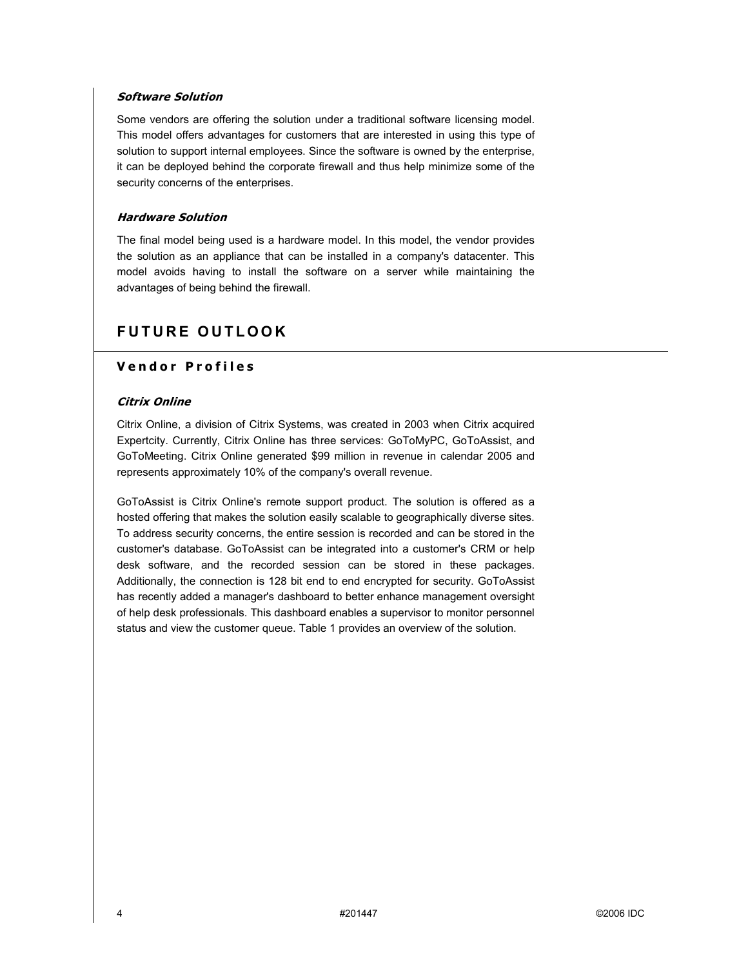#### **Software Solution**

Some vendors are offering the solution under a traditional software licensing model. This model offers advantages for customers that are interested in using this type of solution to support internal employees. Since the software is owned by the enterprise, it can be deployed behind the corporate firewall and thus help minimize some of the security concerns of the enterprises.

#### **Hardware Solution**

The final model being used is a hardware model. In this model, the vendor provides the solution as an appliance that can be installed in a company's datacenter. This model avoids having to install the software on a server while maintaining the advantages of being behind the firewall.

# **FUTURE OUTLOOK**

### **Vendor Profiles**

#### **Citrix Online**

Citrix Online, a division of Citrix Systems, was created in 2003 when Citrix acquired Expertcity. Currently, Citrix Online has three services: GoToMyPC, GoToAssist, and GoToMeeting. Citrix Online generated \$99 million in revenue in calendar 2005 and represents approximately 10% of the company's overall revenue.

GoToAssist is Citrix Online's remote support product. The solution is offered as a hosted offering that makes the solution easily scalable to geographically diverse sites. To address security concerns, the entire session is recorded and can be stored in the customer's database. GoToAssist can be integrated into a customer's CRM or help desk software, and the recorded session can be stored in these packages. Additionally, the connection is 128 bit end to end encrypted for security. GoToAssist has recently added a manager's dashboard to better enhance management oversight of help desk professionals. This dashboard enables a supervisor to monitor personnel status and view the customer queue. Table 1 provides an overview of the solution.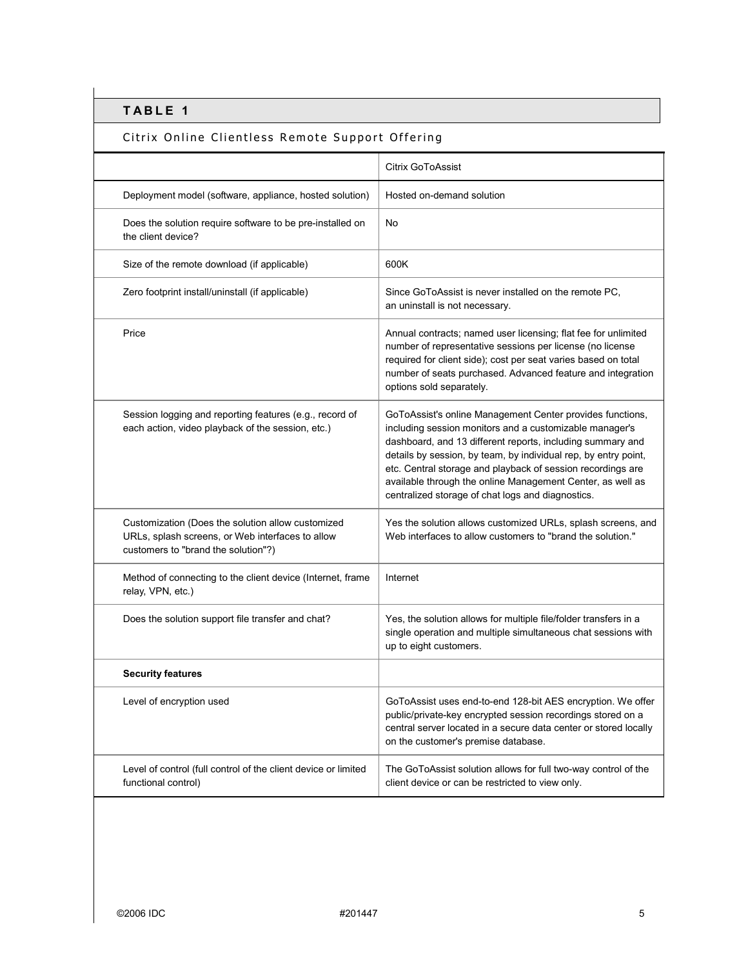# Citrix Online Clientless Remote Support Offering

|                                                                                                                                              | Citrix GoToAssist                                                                                                                                                                                                                                                                                                                                                                                                                       |
|----------------------------------------------------------------------------------------------------------------------------------------------|-----------------------------------------------------------------------------------------------------------------------------------------------------------------------------------------------------------------------------------------------------------------------------------------------------------------------------------------------------------------------------------------------------------------------------------------|
| Deployment model (software, appliance, hosted solution)                                                                                      | Hosted on-demand solution                                                                                                                                                                                                                                                                                                                                                                                                               |
| Does the solution require software to be pre-installed on<br>the client device?                                                              | No                                                                                                                                                                                                                                                                                                                                                                                                                                      |
| Size of the remote download (if applicable)                                                                                                  | 600K                                                                                                                                                                                                                                                                                                                                                                                                                                    |
| Zero footprint install/uninstall (if applicable)                                                                                             | Since GoToAssist is never installed on the remote PC,<br>an uninstall is not necessary.                                                                                                                                                                                                                                                                                                                                                 |
| Price                                                                                                                                        | Annual contracts; named user licensing; flat fee for unlimited<br>number of representative sessions per license (no license<br>required for client side); cost per seat varies based on total<br>number of seats purchased. Advanced feature and integration<br>options sold separately.                                                                                                                                                |
| Session logging and reporting features (e.g., record of<br>each action, video playback of the session, etc.)                                 | GoToAssist's online Management Center provides functions,<br>including session monitors and a customizable manager's<br>dashboard, and 13 different reports, including summary and<br>details by session, by team, by individual rep, by entry point,<br>etc. Central storage and playback of session recordings are<br>available through the online Management Center, as well as<br>centralized storage of chat logs and diagnostics. |
| Customization (Does the solution allow customized<br>URLs, splash screens, or Web interfaces to allow<br>customers to "brand the solution"?) | Yes the solution allows customized URLs, splash screens, and<br>Web interfaces to allow customers to "brand the solution."                                                                                                                                                                                                                                                                                                              |
| Method of connecting to the client device (Internet, frame<br>relay, VPN, etc.)                                                              | Internet                                                                                                                                                                                                                                                                                                                                                                                                                                |
| Does the solution support file transfer and chat?                                                                                            | Yes, the solution allows for multiple file/folder transfers in a<br>single operation and multiple simultaneous chat sessions with<br>up to eight customers.                                                                                                                                                                                                                                                                             |
| <b>Security features</b>                                                                                                                     |                                                                                                                                                                                                                                                                                                                                                                                                                                         |
| Level of encryption used                                                                                                                     | GoToAssist uses end-to-end 128-bit AES encryption. We offer<br>public/private-key encrypted session recordings stored on a<br>central server located in a secure data center or stored locally<br>on the customer's premise database.                                                                                                                                                                                                   |
| Level of control (full control of the client device or limited<br>functional control)                                                        | The GoToAssist solution allows for full two-way control of the<br>client device or can be restricted to view only.                                                                                                                                                                                                                                                                                                                      |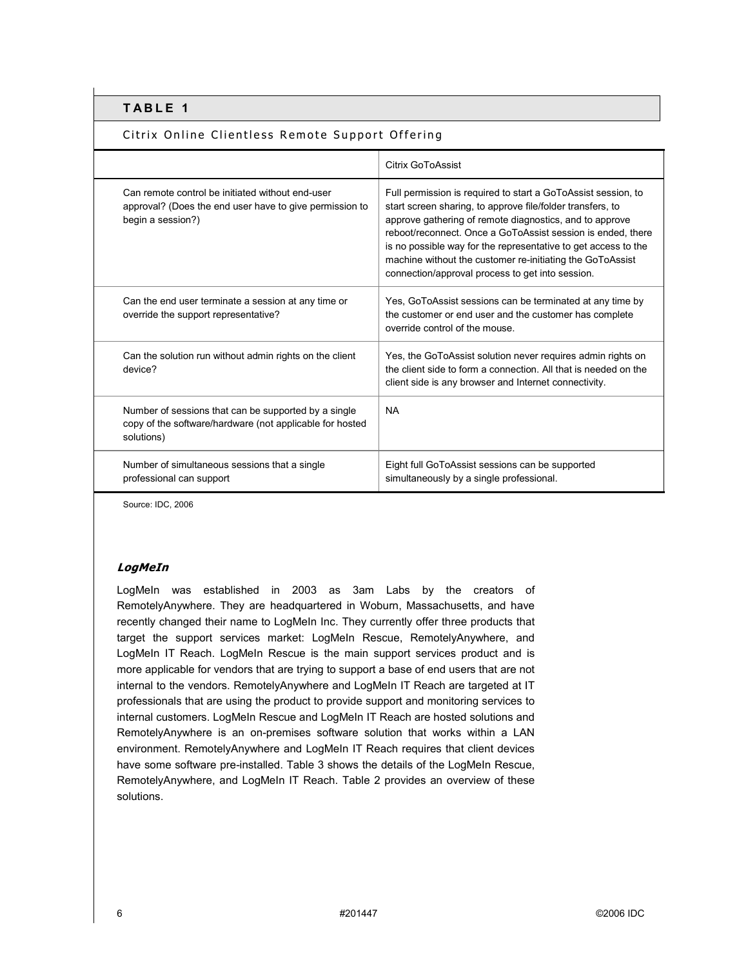### Citrix Online Clientless Remote Support Offering

|                                                                                                                                  | Citrix GoToAssist                                                                                                                                                                                                                                                                                                                                                                                                                        |
|----------------------------------------------------------------------------------------------------------------------------------|------------------------------------------------------------------------------------------------------------------------------------------------------------------------------------------------------------------------------------------------------------------------------------------------------------------------------------------------------------------------------------------------------------------------------------------|
| Can remote control be initiated without end-user<br>approval? (Does the end user have to give permission to<br>begin a session?) | Full permission is required to start a GoToAssist session, to<br>start screen sharing, to approve file/folder transfers, to<br>approve gathering of remote diagnostics, and to approve<br>reboot/reconnect. Once a GoToAssist session is ended, there<br>is no possible way for the representative to get access to the<br>machine without the customer re-initiating the GoToAssist<br>connection/approval process to get into session. |
| Can the end user terminate a session at any time or<br>override the support representative?                                      | Yes, GoToAssist sessions can be terminated at any time by<br>the customer or end user and the customer has complete<br>override control of the mouse.                                                                                                                                                                                                                                                                                    |
| Can the solution run without admin rights on the client<br>device?                                                               | Yes, the GoToAssist solution never requires admin rights on<br>the client side to form a connection. All that is needed on the<br>client side is any browser and Internet connectivity.                                                                                                                                                                                                                                                  |
| Number of sessions that can be supported by a single<br>copy of the software/hardware (not applicable for hosted<br>solutions)   | <b>NA</b>                                                                                                                                                                                                                                                                                                                                                                                                                                |
| Number of simultaneous sessions that a single<br>professional can support                                                        | Eight full GoToAssist sessions can be supported<br>simultaneously by a single professional.                                                                                                                                                                                                                                                                                                                                              |

Source: IDC, 2006

### **LogMeIn**

LogMeIn was established in 2003 as 3am Labs by the creators of RemotelyAnywhere. They are headquartered in Woburn, Massachusetts, and have recently changed their name to LogMeIn Inc. They currently offer three products that target the support services market: LogMeIn Rescue, RemotelyAnywhere, and LogMeIn IT Reach. LogMeIn Rescue is the main support services product and is more applicable for vendors that are trying to support a base of end users that are not internal to the vendors. RemotelyAnywhere and LogMeIn IT Reach are targeted at IT professionals that are using the product to provide support and monitoring services to internal customers. LogMeIn Rescue and LogMeIn IT Reach are hosted solutions and RemotelyAnywhere is an on-premises software solution that works within a LAN environment. RemotelyAnywhere and LogMeIn IT Reach requires that client devices have some software pre-installed. Table 3 shows the details of the LogMeIn Rescue, RemotelyAnywhere, and LogMeIn IT Reach. Table 2 provides an overview of these solutions.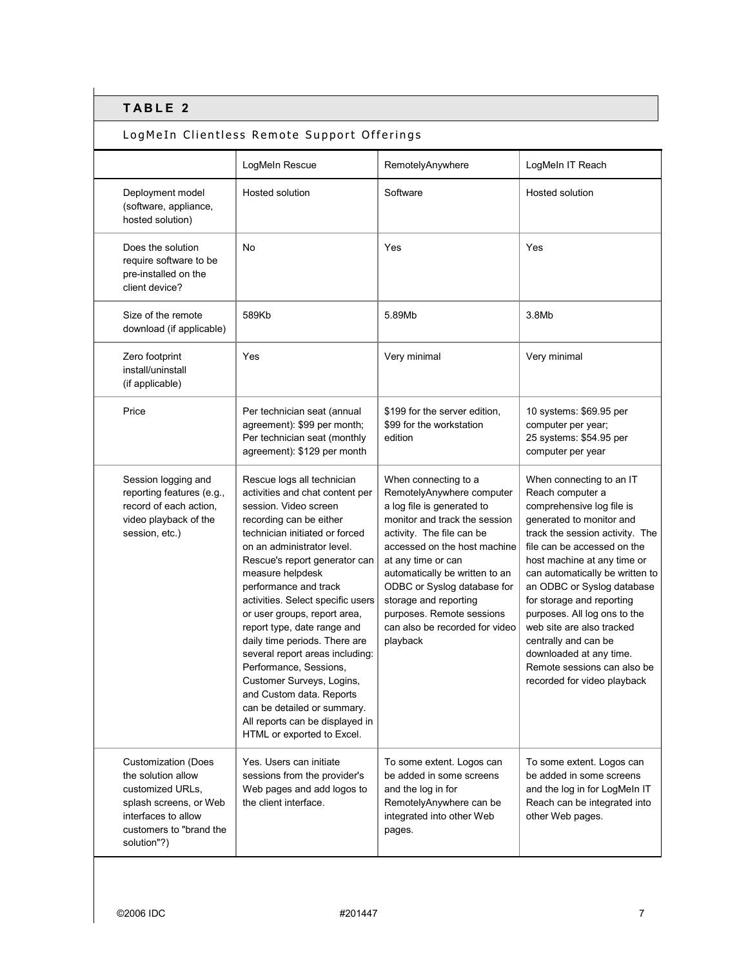## LogMeIn Clientless Remote Support Offerings

|                                                                                                                                                                 | LogMeIn Rescue                                                                                                                                                                                                                                                                                                                                                                                                                                                                                                                                                                                                             | RemotelyAnywhere                                                                                                                                                                                                                                                                                                                                                         | LogMeIn IT Reach                                                                                                                                                                                                                                                                                                                                                                                                                                                                   |
|-----------------------------------------------------------------------------------------------------------------------------------------------------------------|----------------------------------------------------------------------------------------------------------------------------------------------------------------------------------------------------------------------------------------------------------------------------------------------------------------------------------------------------------------------------------------------------------------------------------------------------------------------------------------------------------------------------------------------------------------------------------------------------------------------------|--------------------------------------------------------------------------------------------------------------------------------------------------------------------------------------------------------------------------------------------------------------------------------------------------------------------------------------------------------------------------|------------------------------------------------------------------------------------------------------------------------------------------------------------------------------------------------------------------------------------------------------------------------------------------------------------------------------------------------------------------------------------------------------------------------------------------------------------------------------------|
| Deployment model<br>(software, appliance,<br>hosted solution)                                                                                                   | Hosted solution                                                                                                                                                                                                                                                                                                                                                                                                                                                                                                                                                                                                            | Software                                                                                                                                                                                                                                                                                                                                                                 | Hosted solution                                                                                                                                                                                                                                                                                                                                                                                                                                                                    |
| Does the solution<br>require software to be<br>pre-installed on the<br>client device?                                                                           | No                                                                                                                                                                                                                                                                                                                                                                                                                                                                                                                                                                                                                         | Yes                                                                                                                                                                                                                                                                                                                                                                      | Yes                                                                                                                                                                                                                                                                                                                                                                                                                                                                                |
| Size of the remote<br>download (if applicable)                                                                                                                  | 589Kb                                                                                                                                                                                                                                                                                                                                                                                                                                                                                                                                                                                                                      | 5.89Mb                                                                                                                                                                                                                                                                                                                                                                   | 3.8Mb                                                                                                                                                                                                                                                                                                                                                                                                                                                                              |
| Zero footprint<br>install/uninstall<br>(if applicable)                                                                                                          | Yes                                                                                                                                                                                                                                                                                                                                                                                                                                                                                                                                                                                                                        | Very minimal                                                                                                                                                                                                                                                                                                                                                             | Very minimal                                                                                                                                                                                                                                                                                                                                                                                                                                                                       |
| Price                                                                                                                                                           | Per technician seat (annual<br>agreement): \$99 per month;<br>Per technician seat (monthly<br>agreement): \$129 per month                                                                                                                                                                                                                                                                                                                                                                                                                                                                                                  | \$199 for the server edition,<br>\$99 for the workstation<br>edition                                                                                                                                                                                                                                                                                                     | 10 systems: \$69.95 per<br>computer per year;<br>25 systems: \$54.95 per<br>computer per year                                                                                                                                                                                                                                                                                                                                                                                      |
| Session logging and<br>reporting features (e.g.,<br>record of each action,<br>video playback of the<br>session, etc.)                                           | Rescue logs all technician<br>activities and chat content per<br>session. Video screen<br>recording can be either<br>technician initiated or forced<br>on an administrator level.<br>Rescue's report generator can<br>measure helpdesk<br>performance and track<br>activities. Select specific users<br>or user groups, report area,<br>report type, date range and<br>daily time periods. There are<br>several report areas including:<br>Performance, Sessions,<br>Customer Surveys, Logins,<br>and Custom data. Reports<br>can be detailed or summary.<br>All reports can be displayed in<br>HTML or exported to Excel. | When connecting to a<br>RemotelyAnywhere computer<br>a log file is generated to<br>monitor and track the session<br>activity. The file can be<br>accessed on the host machine<br>at any time or can<br>automatically be written to an<br>ODBC or Syslog database for<br>storage and reporting<br>purposes. Remote sessions<br>can also be recorded for video<br>playback | When connecting to an IT<br>Reach computer a<br>comprehensive log file is<br>generated to monitor and<br>track the session activity. The<br>file can be accessed on the<br>host machine at any time or<br>can automatically be written to<br>an ODBC or Syslog database<br>for storage and reporting<br>purposes. All log ons to the<br>web site are also tracked<br>centrally and can be<br>downloaded at any time.<br>Remote sessions can also be<br>recorded for video playback |
| <b>Customization (Does</b><br>the solution allow<br>customized URLs,<br>splash screens, or Web<br>interfaces to allow<br>customers to "brand the<br>solution"?) | Yes. Users can initiate<br>sessions from the provider's<br>Web pages and add logos to<br>the client interface.                                                                                                                                                                                                                                                                                                                                                                                                                                                                                                             | To some extent. Logos can<br>be added in some screens<br>and the log in for<br>RemotelyAnywhere can be<br>integrated into other Web<br>pages.                                                                                                                                                                                                                            | To some extent. Logos can<br>be added in some screens<br>and the log in for LogMeIn IT<br>Reach can be integrated into<br>other Web pages.                                                                                                                                                                                                                                                                                                                                         |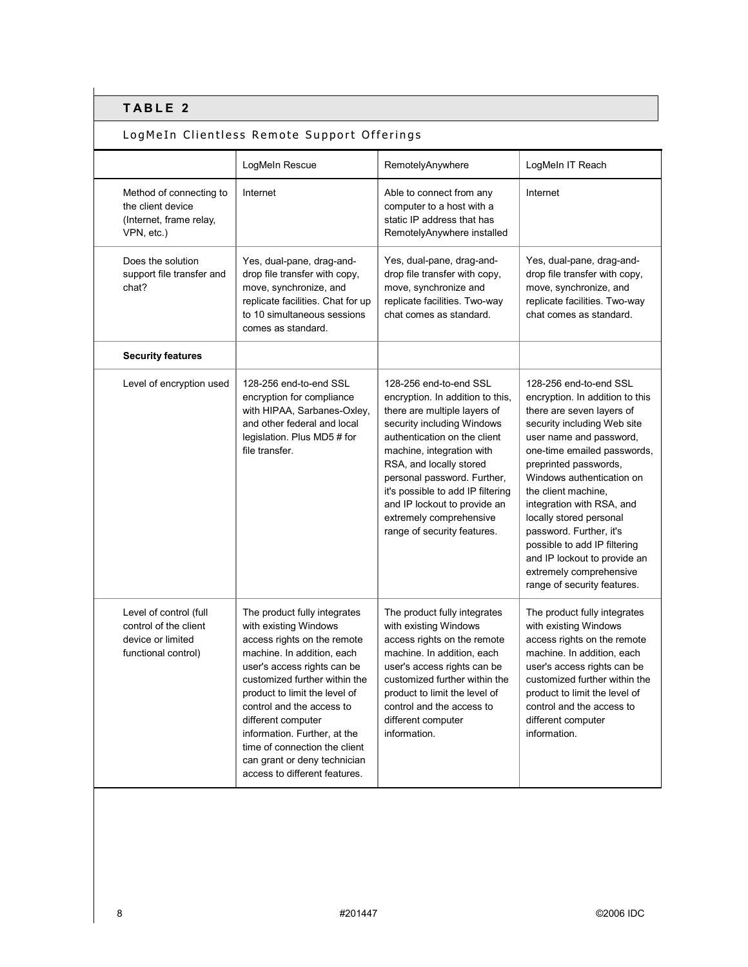## LogMeIn Clientless Remote Support Offerings

|                                                                                             | LogMeIn Rescue                                                                                                                                                                                                                                                                                                                                                                                           | RemotelyAnywhere                                                                                                                                                                                                                                                                                                                                                               | LogMeIn IT Reach                                                                                                                                                                                                                                                                                                                                                                                                                                                          |
|---------------------------------------------------------------------------------------------|----------------------------------------------------------------------------------------------------------------------------------------------------------------------------------------------------------------------------------------------------------------------------------------------------------------------------------------------------------------------------------------------------------|--------------------------------------------------------------------------------------------------------------------------------------------------------------------------------------------------------------------------------------------------------------------------------------------------------------------------------------------------------------------------------|---------------------------------------------------------------------------------------------------------------------------------------------------------------------------------------------------------------------------------------------------------------------------------------------------------------------------------------------------------------------------------------------------------------------------------------------------------------------------|
| Method of connecting to<br>the client device<br>(Internet, frame relay,<br>VPN, etc.)       | Internet                                                                                                                                                                                                                                                                                                                                                                                                 | Able to connect from any<br>computer to a host with a<br>static IP address that has<br>RemotelyAnywhere installed                                                                                                                                                                                                                                                              | Internet                                                                                                                                                                                                                                                                                                                                                                                                                                                                  |
| Does the solution<br>support file transfer and<br>chat?                                     | Yes, dual-pane, drag-and-<br>drop file transfer with copy,<br>move, synchronize, and<br>replicate facilities. Chat for up<br>to 10 simultaneous sessions<br>comes as standard.                                                                                                                                                                                                                           | Yes, dual-pane, drag-and-<br>drop file transfer with copy,<br>move, synchronize and<br>replicate facilities. Two-way<br>chat comes as standard.                                                                                                                                                                                                                                | Yes, dual-pane, drag-and-<br>drop file transfer with copy,<br>move, synchronize, and<br>replicate facilities. Two-way<br>chat comes as standard.                                                                                                                                                                                                                                                                                                                          |
| <b>Security features</b>                                                                    |                                                                                                                                                                                                                                                                                                                                                                                                          |                                                                                                                                                                                                                                                                                                                                                                                |                                                                                                                                                                                                                                                                                                                                                                                                                                                                           |
| Level of encryption used                                                                    | 128-256 end-to-end SSL<br>encryption for compliance<br>with HIPAA, Sarbanes-Oxley,<br>and other federal and local<br>legislation. Plus MD5 # for<br>file transfer.                                                                                                                                                                                                                                       | 128-256 end-to-end SSL<br>encryption. In addition to this,<br>there are multiple layers of<br>security including Windows<br>authentication on the client<br>machine, integration with<br>RSA, and locally stored<br>personal password. Further,<br>it's possible to add IP filtering<br>and IP lockout to provide an<br>extremely comprehensive<br>range of security features. | 128-256 end-to-end SSL<br>encryption. In addition to this<br>there are seven layers of<br>security including Web site<br>user name and password,<br>one-time emailed passwords,<br>preprinted passwords,<br>Windows authentication on<br>the client machine.<br>integration with RSA, and<br>locally stored personal<br>password. Further, it's<br>possible to add IP filtering<br>and IP lockout to provide an<br>extremely comprehensive<br>range of security features. |
| Level of control (full<br>control of the client<br>device or limited<br>functional control) | The product fully integrates<br>with existing Windows<br>access rights on the remote<br>machine. In addition, each<br>user's access rights can be<br>customized further within the<br>product to limit the level of<br>control and the access to<br>different computer<br>information. Further, at the<br>time of connection the client<br>can grant or deny technician<br>access to different features. | The product fully integrates<br>with existing Windows<br>access rights on the remote<br>machine. In addition, each<br>user's access rights can be<br>customized further within the<br>product to limit the level of<br>control and the access to<br>different computer<br>information.                                                                                         | The product fully integrates<br>with existing Windows<br>access rights on the remote<br>machine. In addition, each<br>user's access rights can be<br>customized further within the<br>product to limit the level of<br>control and the access to<br>different computer<br>information.                                                                                                                                                                                    |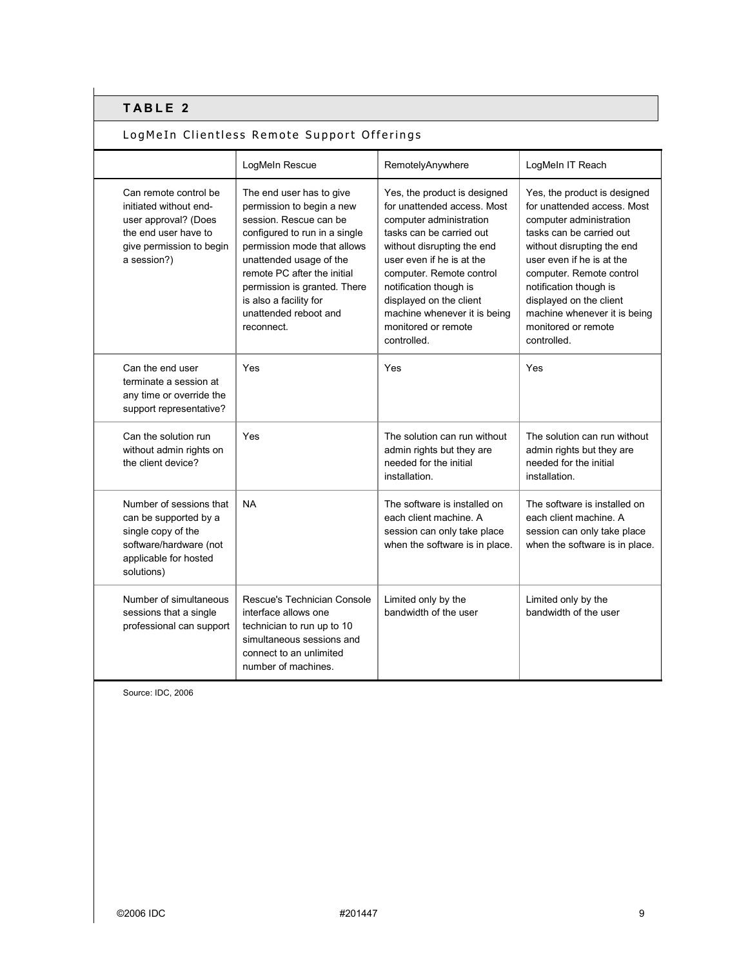## LogMeIn Clientless Remote Support Offerings

|                                                                                                                                            | LogMeln Rescue                                                                                                                                                                                                                                                                                             | RemotelyAnywhere                                                                                                                                                                                                                                                                                                                     | LogMeIn IT Reach                                                                                                                                                                                                                                                                                                                     |
|--------------------------------------------------------------------------------------------------------------------------------------------|------------------------------------------------------------------------------------------------------------------------------------------------------------------------------------------------------------------------------------------------------------------------------------------------------------|--------------------------------------------------------------------------------------------------------------------------------------------------------------------------------------------------------------------------------------------------------------------------------------------------------------------------------------|--------------------------------------------------------------------------------------------------------------------------------------------------------------------------------------------------------------------------------------------------------------------------------------------------------------------------------------|
| Can remote control be<br>initiated without end-<br>user approval? (Does<br>the end user have to<br>give permission to begin<br>a session?) | The end user has to give<br>permission to begin a new<br>session. Rescue can be<br>configured to run in a single<br>permission mode that allows<br>unattended usage of the<br>remote PC after the initial<br>permission is granted. There<br>is also a facility for<br>unattended reboot and<br>reconnect. | Yes, the product is designed<br>for unattended access. Most<br>computer administration<br>tasks can be carried out<br>without disrupting the end<br>user even if he is at the<br>computer. Remote control<br>notification though is<br>displayed on the client<br>machine whenever it is being<br>monitored or remote<br>controlled. | Yes, the product is designed<br>for unattended access. Most<br>computer administration<br>tasks can be carried out<br>without disrupting the end<br>user even if he is at the<br>computer. Remote control<br>notification though is<br>displayed on the client<br>machine whenever it is being<br>monitored or remote<br>controlled. |
| Can the end user<br>terminate a session at<br>any time or override the<br>support representative?                                          | Yes                                                                                                                                                                                                                                                                                                        | Yes                                                                                                                                                                                                                                                                                                                                  | Yes                                                                                                                                                                                                                                                                                                                                  |
| Can the solution run<br>without admin rights on<br>the client device?                                                                      | Yes                                                                                                                                                                                                                                                                                                        | The solution can run without<br>admin rights but they are<br>needed for the initial<br>installation.                                                                                                                                                                                                                                 | The solution can run without<br>admin rights but they are<br>needed for the initial<br>installation.                                                                                                                                                                                                                                 |
| Number of sessions that<br>can be supported by a<br>single copy of the<br>software/hardware (not<br>applicable for hosted<br>solutions)    | <b>NA</b>                                                                                                                                                                                                                                                                                                  | The software is installed on<br>each client machine. A<br>session can only take place<br>when the software is in place.                                                                                                                                                                                                              | The software is installed on<br>each client machine. A<br>session can only take place<br>when the software is in place.                                                                                                                                                                                                              |
| Number of simultaneous<br>sessions that a single<br>professional can support                                                               | Rescue's Technician Console<br>interface allows one<br>technician to run up to 10<br>simultaneous sessions and<br>connect to an unlimited<br>number of machines.                                                                                                                                           | Limited only by the<br>bandwidth of the user                                                                                                                                                                                                                                                                                         | Limited only by the<br>bandwidth of the user                                                                                                                                                                                                                                                                                         |

Source: IDC, 2006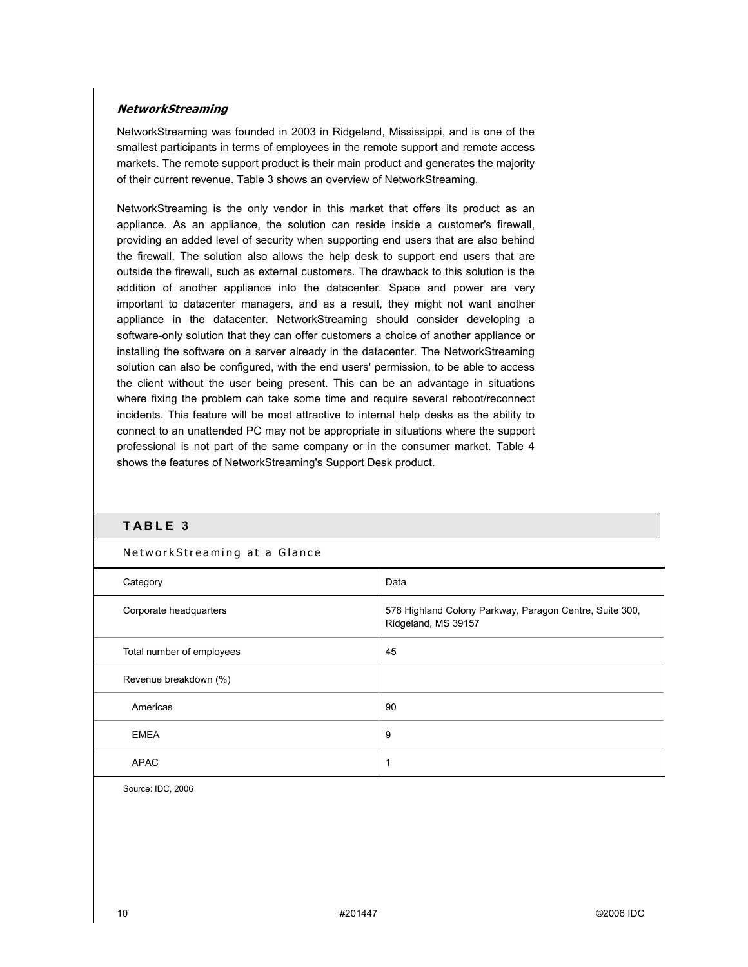#### **NetworkStreaming**

NetworkStreaming was founded in 2003 in Ridgeland, Mississippi, and is one of the smallest participants in terms of employees in the remote support and remote access markets. The remote support product is their main product and generates the majority of their current revenue. Table 3 shows an overview of NetworkStreaming.

NetworkStreaming is the only vendor in this market that offers its product as an appliance. As an appliance, the solution can reside inside a customer's firewall, providing an added level of security when supporting end users that are also behind the firewall. The solution also allows the help desk to support end users that are outside the firewall, such as external customers. The drawback to this solution is the addition of another appliance into the datacenter. Space and power are very important to datacenter managers, and as a result, they might not want another appliance in the datacenter. NetworkStreaming should consider developing a software-only solution that they can offer customers a choice of another appliance or installing the software on a server already in the datacenter. The NetworkStreaming solution can also be configured, with the end users' permission, to be able to access the client without the user being present. This can be an advantage in situations where fixing the problem can take some time and require several reboot/reconnect incidents. This feature will be most attractive to internal help desks as the ability to connect to an unattended PC may not be appropriate in situations where the support professional is not part of the same company or in the consumer market. Table 4 shows the features of NetworkStreaming's Support Desk product.

### **TABLE 3**

| Category                  | Data                                                                           |
|---------------------------|--------------------------------------------------------------------------------|
| Corporate headquarters    | 578 Highland Colony Parkway, Paragon Centre, Suite 300,<br>Ridgeland, MS 39157 |
| Total number of employees | 45                                                                             |
| Revenue breakdown (%)     |                                                                                |
| Americas                  | 90                                                                             |
| <b>EMEA</b>               | 9                                                                              |
| <b>APAC</b>               | 1                                                                              |

#### NetworkStreaming at a Glance

Source: IDC, 2006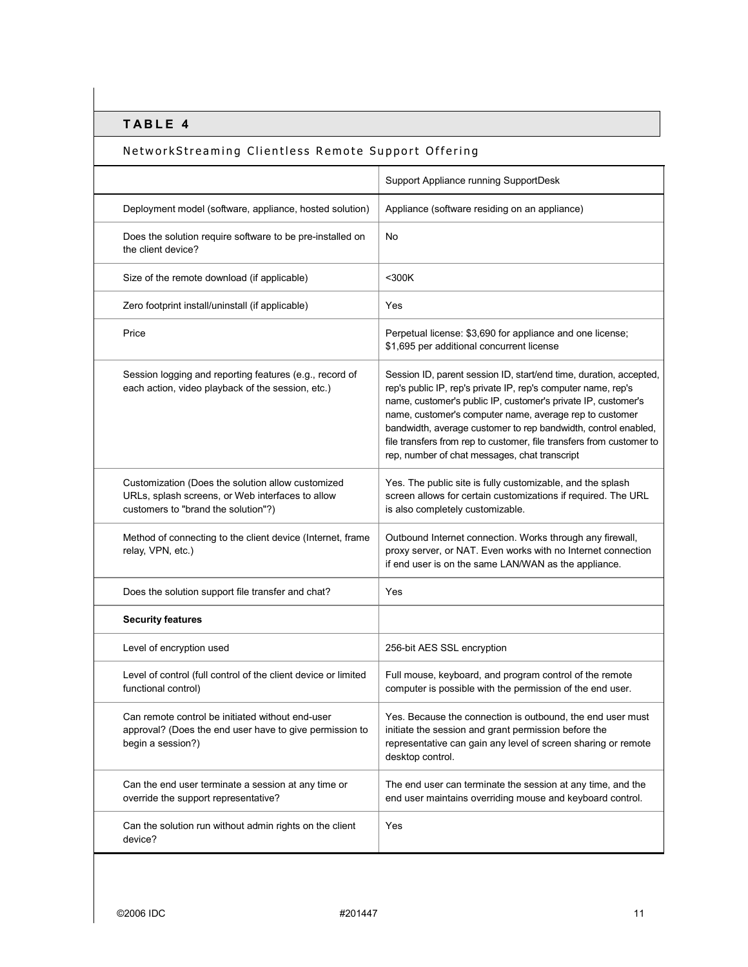## NetworkStreaming Clientless Remote Support Offering

|                                                                                                                                              | Support Appliance running SupportDesk                                                                                                                                                                                                                                                                                                                                                                                                                      |
|----------------------------------------------------------------------------------------------------------------------------------------------|------------------------------------------------------------------------------------------------------------------------------------------------------------------------------------------------------------------------------------------------------------------------------------------------------------------------------------------------------------------------------------------------------------------------------------------------------------|
| Deployment model (software, appliance, hosted solution)                                                                                      | Appliance (software residing on an appliance)                                                                                                                                                                                                                                                                                                                                                                                                              |
| Does the solution require software to be pre-installed on<br>the client device?                                                              | No                                                                                                                                                                                                                                                                                                                                                                                                                                                         |
| Size of the remote download (if applicable)                                                                                                  | $300K$                                                                                                                                                                                                                                                                                                                                                                                                                                                     |
| Zero footprint install/uninstall (if applicable)                                                                                             | Yes                                                                                                                                                                                                                                                                                                                                                                                                                                                        |
| Price                                                                                                                                        | Perpetual license: \$3,690 for appliance and one license;<br>\$1,695 per additional concurrent license                                                                                                                                                                                                                                                                                                                                                     |
| Session logging and reporting features (e.g., record of<br>each action, video playback of the session, etc.)                                 | Session ID, parent session ID, start/end time, duration, accepted,<br>rep's public IP, rep's private IP, rep's computer name, rep's<br>name, customer's public IP, customer's private IP, customer's<br>name, customer's computer name, average rep to customer<br>bandwidth, average customer to rep bandwidth, control enabled,<br>file transfers from rep to customer, file transfers from customer to<br>rep, number of chat messages, chat transcript |
| Customization (Does the solution allow customized<br>URLs, splash screens, or Web interfaces to allow<br>customers to "brand the solution"?) | Yes. The public site is fully customizable, and the splash<br>screen allows for certain customizations if required. The URL<br>is also completely customizable.                                                                                                                                                                                                                                                                                            |
| Method of connecting to the client device (Internet, frame<br>relay, VPN, etc.)                                                              | Outbound Internet connection. Works through any firewall,<br>proxy server, or NAT. Even works with no Internet connection<br>if end user is on the same LAN/WAN as the appliance.                                                                                                                                                                                                                                                                          |
| Does the solution support file transfer and chat?                                                                                            | Yes                                                                                                                                                                                                                                                                                                                                                                                                                                                        |
| <b>Security features</b>                                                                                                                     |                                                                                                                                                                                                                                                                                                                                                                                                                                                            |
| Level of encryption used                                                                                                                     | 256-bit AES SSL encryption                                                                                                                                                                                                                                                                                                                                                                                                                                 |
| Level of control (full control of the client device or limited<br>functional control)                                                        | Full mouse, keyboard, and program control of the remote<br>computer is possible with the permission of the end user.                                                                                                                                                                                                                                                                                                                                       |
| Can remote control be initiated without end-user<br>approval? (Does the end user have to give permission to<br>begin a session?)             | Yes. Because the connection is outbound, the end user must<br>initiate the session and grant permission before the<br>representative can gain any level of screen sharing or remote<br>desktop control.                                                                                                                                                                                                                                                    |
| Can the end user terminate a session at any time or<br>override the support representative?                                                  | The end user can terminate the session at any time, and the<br>end user maintains overriding mouse and keyboard control.                                                                                                                                                                                                                                                                                                                                   |
| Can the solution run without admin rights on the client<br>device?                                                                           | Yes                                                                                                                                                                                                                                                                                                                                                                                                                                                        |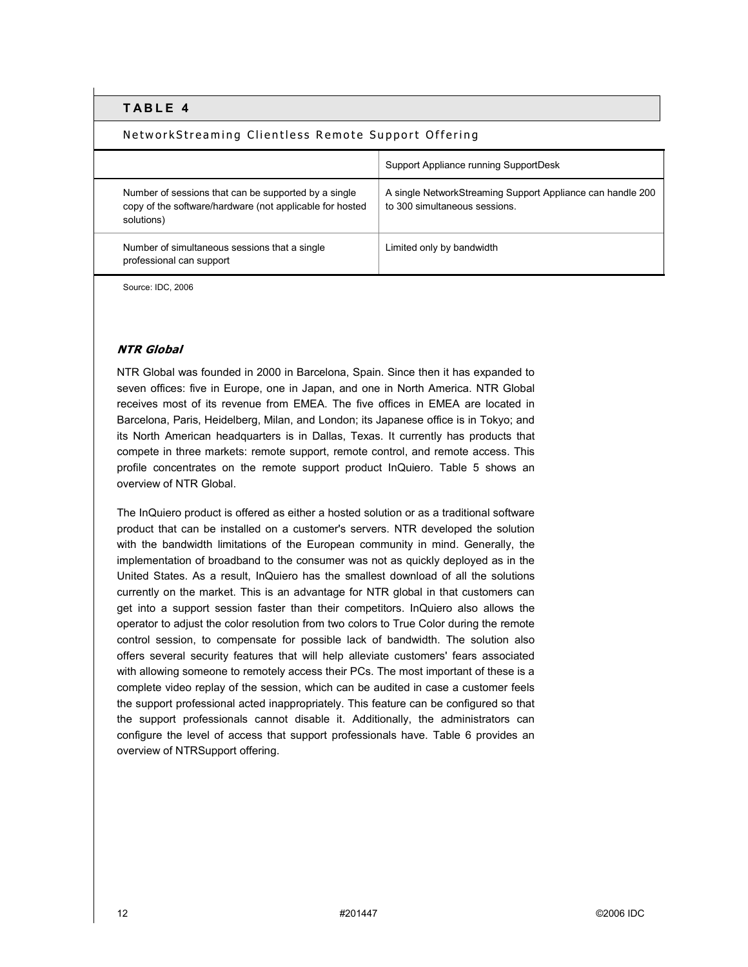### NetworkStreaming Clientless Remote Support Offering

|                                                                                                                                | Support Appliance running SupportDesk                                                       |
|--------------------------------------------------------------------------------------------------------------------------------|---------------------------------------------------------------------------------------------|
| Number of sessions that can be supported by a single<br>copy of the software/hardware (not applicable for hosted<br>solutions) | A single NetworkStreaming Support Appliance can handle 200<br>to 300 simultaneous sessions. |
| Number of simultaneous sessions that a single<br>professional can support                                                      | Limited only by bandwidth                                                                   |

Source: IDC, 2006

### **NTR Global**

NTR Global was founded in 2000 in Barcelona, Spain. Since then it has expanded to seven offices: five in Europe, one in Japan, and one in North America. NTR Global receives most of its revenue from EMEA. The five offices in EMEA are located in Barcelona, Paris, Heidelberg, Milan, and London; its Japanese office is in Tokyo; and its North American headquarters is in Dallas, Texas. It currently has products that compete in three markets: remote support, remote control, and remote access. This profile concentrates on the remote support product InQuiero. Table 5 shows an overview of NTR Global.

The InQuiero product is offered as either a hosted solution or as a traditional software product that can be installed on a customer's servers. NTR developed the solution with the bandwidth limitations of the European community in mind. Generally, the implementation of broadband to the consumer was not as quickly deployed as in the United States. As a result, InQuiero has the smallest download of all the solutions currently on the market. This is an advantage for NTR global in that customers can get into a support session faster than their competitors. InQuiero also allows the operator to adjust the color resolution from two colors to True Color during the remote control session, to compensate for possible lack of bandwidth. The solution also offers several security features that will help alleviate customers' fears associated with allowing someone to remotely access their PCs. The most important of these is a complete video replay of the session, which can be audited in case a customer feels the support professional acted inappropriately. This feature can be configured so that the support professionals cannot disable it. Additionally, the administrators can configure the level of access that support professionals have. Table 6 provides an overview of NTRSupport offering.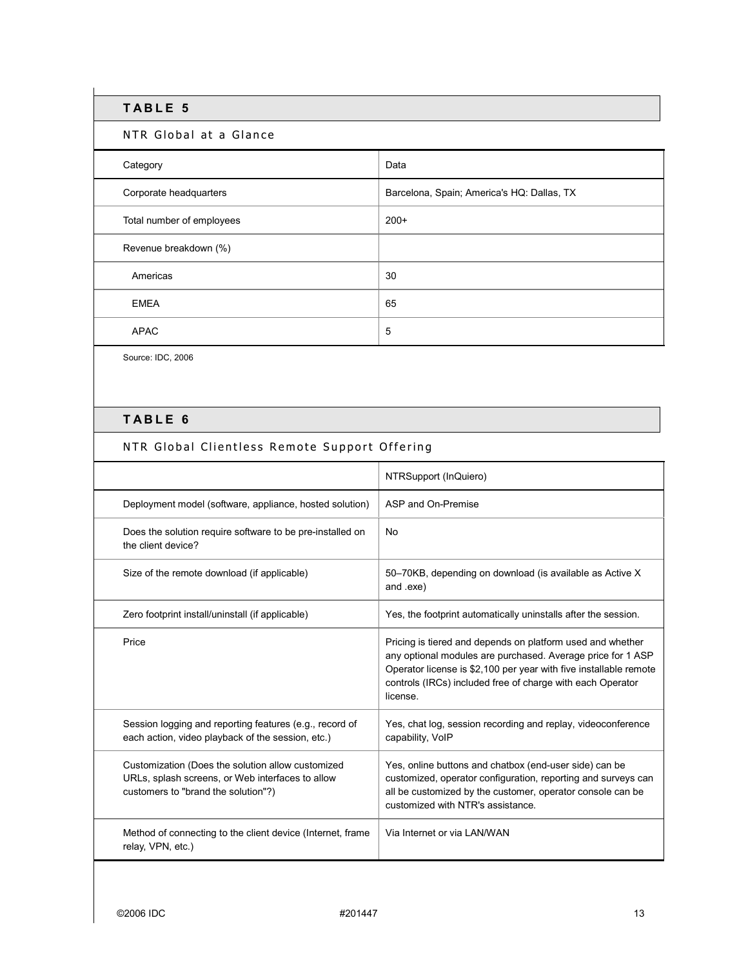### NTR Global at a Glance

| Category                  | Data                                       |
|---------------------------|--------------------------------------------|
| Corporate headquarters    | Barcelona, Spain; America's HQ: Dallas, TX |
| Total number of employees | $200+$                                     |
| Revenue breakdown (%)     |                                            |
| Americas                  | 30                                         |
| <b>EMEA</b>               | 65                                         |
| <b>APAC</b>               | 5                                          |

Source: IDC, 2006

# **TABLE 6**

## NTR Global Clientless Remote Support Offering

|                                                                                                                                              | NTRSupport (InQuiero)                                                                                                                                                                                                                                                    |
|----------------------------------------------------------------------------------------------------------------------------------------------|--------------------------------------------------------------------------------------------------------------------------------------------------------------------------------------------------------------------------------------------------------------------------|
| Deployment model (software, appliance, hosted solution)                                                                                      | ASP and On-Premise                                                                                                                                                                                                                                                       |
| Does the solution require software to be pre-installed on<br>the client device?                                                              | No.                                                                                                                                                                                                                                                                      |
| Size of the remote download (if applicable)                                                                                                  | 50–70KB, depending on download (is available as Active X)<br>and .exe)                                                                                                                                                                                                   |
| Zero footprint install/uninstall (if applicable)                                                                                             | Yes, the footprint automatically uninstalls after the session.                                                                                                                                                                                                           |
| Price                                                                                                                                        | Pricing is tiered and depends on platform used and whether<br>any optional modules are purchased. Average price for 1 ASP<br>Operator license is \$2,100 per year with five installable remote<br>controls (IRCs) included free of charge with each Operator<br>license. |
| Session logging and reporting features (e.g., record of<br>each action, video playback of the session, etc.)                                 | Yes, chat log, session recording and replay, videoconference<br>capability, VoIP                                                                                                                                                                                         |
| Customization (Does the solution allow customized<br>URLs, splash screens, or Web interfaces to allow<br>customers to "brand the solution"?) | Yes, online buttons and chatbox (end-user side) can be<br>customized, operator configuration, reporting and surveys can<br>all be customized by the customer, operator console can be<br>customized with NTR's assistance.                                               |
| Method of connecting to the client device (Internet, frame<br>relay, VPN, etc.)                                                              | Via Internet or via LAN/WAN                                                                                                                                                                                                                                              |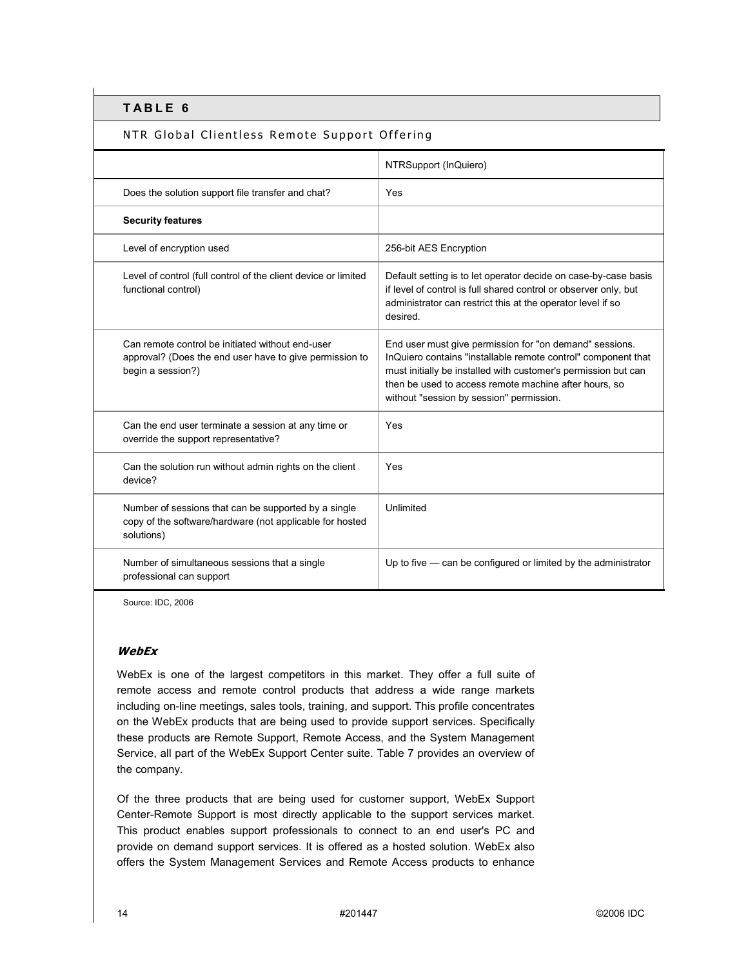### NTR Global Clientless Remote Support Offering

|                                                                                                                                  | NTRSupport (InQuiero)                                                                                                                                                                                                                                                                           |
|----------------------------------------------------------------------------------------------------------------------------------|-------------------------------------------------------------------------------------------------------------------------------------------------------------------------------------------------------------------------------------------------------------------------------------------------|
| Does the solution support file transfer and chat?                                                                                | Yes                                                                                                                                                                                                                                                                                             |
| <b>Security features</b>                                                                                                         |                                                                                                                                                                                                                                                                                                 |
| Level of encryption used                                                                                                         | 256-bit AES Encryption                                                                                                                                                                                                                                                                          |
| Level of control (full control of the client device or limited<br>functional control)                                            | Default setting is to let operator decide on case-by-case basis<br>if level of control is full shared control or observer only, but<br>administrator can restrict this at the operator level if so<br>desired.                                                                                  |
| Can remote control be initiated without end-user<br>approval? (Does the end user have to give permission to<br>begin a session?) | End user must give permission for "on demand" sessions.<br>InQuiero contains "installable remote control" component that<br>must initially be installed with customer's permission but can<br>then be used to access remote machine after hours, so<br>without "session by session" permission. |
| Can the end user terminate a session at any time or<br>override the support representative?                                      | Yes                                                                                                                                                                                                                                                                                             |
| Can the solution run without admin rights on the client<br>device?                                                               | Yes                                                                                                                                                                                                                                                                                             |
| Number of sessions that can be supported by a single<br>copy of the software/hardware (not applicable for hosted<br>solutions)   | Unlimited                                                                                                                                                                                                                                                                                       |
| Number of simultaneous sessions that a single<br>professional can support                                                        | Up to five - can be configured or limited by the administrator                                                                                                                                                                                                                                  |

Source: IDC, 2006

#### **WebEx**

WebEx is one of the largest competitors in this market. They offer a full suite of remote access and remote control products that address a wide range markets including on-line meetings, sales tools, training, and support. This profile concentrates on the WebEx products that are being used to provide support services. Specifically these products are Remote Support, Remote Access, and the System Management Service, all part of the WebEx Support Center suite. Table 7 provides an overview of the company.

Of the three products that are being used for customer support, WebEx Support Center-Remote Support is most directly applicable to the support services market. This product enables support professionals to connect to an end user's PC and provide on demand support services. It is offered as a hosted solution. WebEx also offers the System Management Services and Remote Access products to enhance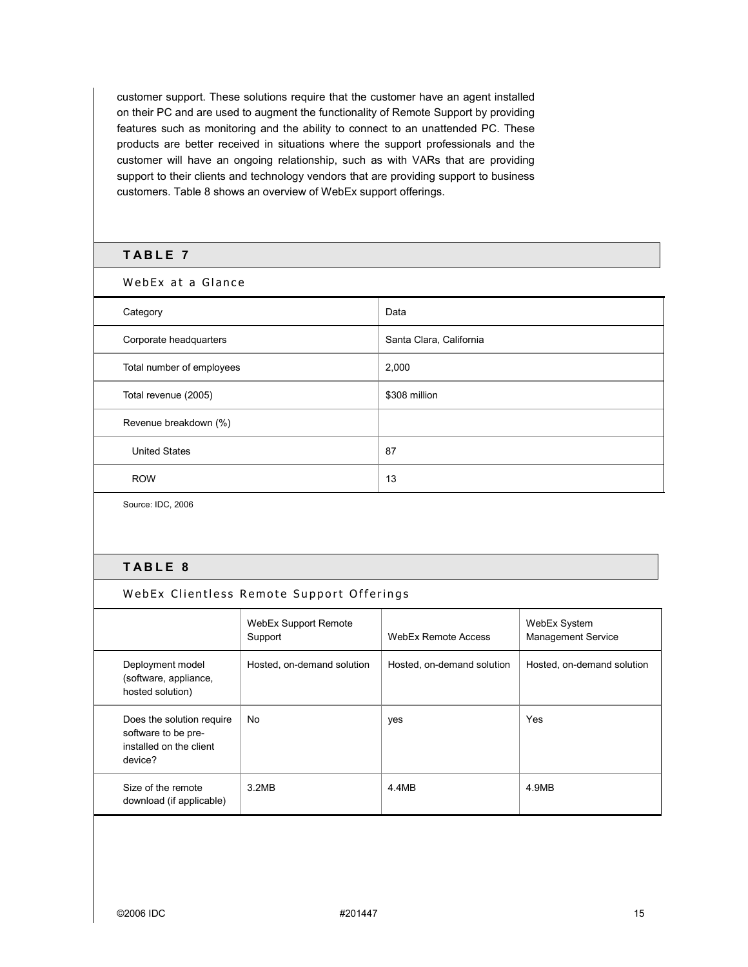customer support. These solutions require that the customer have an agent installed on their PC and are used to augment the functionality of Remote Support by providing features such as monitoring and the ability to connect to an unattended PC. These products are better received in situations where the support professionals and the customer will have an ongoing relationship, such as with VARs that are providing support to their clients and technology vendors that are providing support to business customers. Table 8 shows an overview of WebEx support offerings.

#### **TABLE 7**

WebEx at a Glance

| Category                  | Data                    |
|---------------------------|-------------------------|
| Corporate headquarters    | Santa Clara, California |
| Total number of employees | 2,000                   |
| Total revenue (2005)      | \$308 million           |
| Revenue breakdown (%)     |                         |
| <b>United States</b>      | 87                      |
| <b>ROW</b>                | 13                      |

Source: IDC, 2006

### **TABLE 8**

#### WebEx Support Remote Support WebEx Remote Access WebEx System Management Service Deployment model (software, appliance, hosted solution) Hosted, on-demand solution | Hosted, on-demand solution | Hosted, on-demand solution Does the solution require software to be preinstalled on the client device? No yes Yes Yes Size of the remote download (if applicable) 3.2MB 4.4MB 4.4MB 4.9MB

WebEx Clientless Remote Support Offerings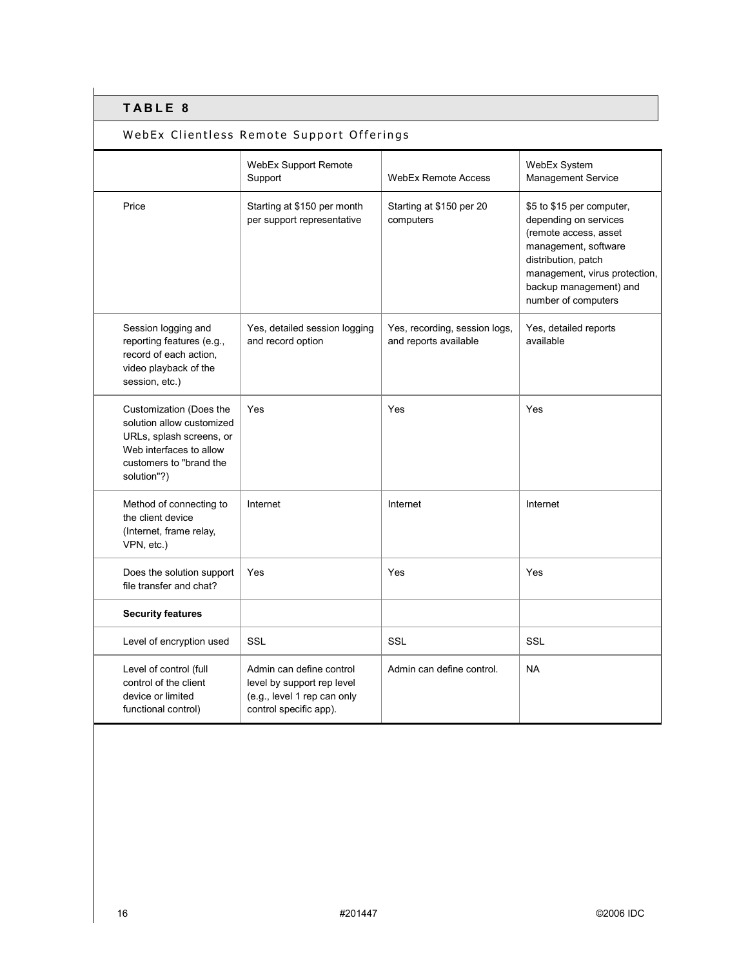# WebEx Clientless Remote Support Offerings

|                                                                                                                                                       | <b>WebEx Support Remote</b><br>Support                                                                          | <b>WebEx Remote Access</b>                             | WebEx System<br>Management Service                                                                                                                                                                           |
|-------------------------------------------------------------------------------------------------------------------------------------------------------|-----------------------------------------------------------------------------------------------------------------|--------------------------------------------------------|--------------------------------------------------------------------------------------------------------------------------------------------------------------------------------------------------------------|
| Price                                                                                                                                                 | Starting at \$150 per month<br>per support representative                                                       | Starting at \$150 per 20<br>computers                  | \$5 to \$15 per computer,<br>depending on services<br>(remote access, asset<br>management, software<br>distribution, patch<br>management, virus protection,<br>backup management) and<br>number of computers |
| Session logging and<br>reporting features (e.g.,<br>record of each action,<br>video playback of the<br>session, etc.)                                 | Yes, detailed session logging<br>and record option                                                              | Yes, recording, session logs,<br>and reports available | Yes, detailed reports<br>available                                                                                                                                                                           |
| Customization (Does the<br>solution allow customized<br>URLs, splash screens, or<br>Web interfaces to allow<br>customers to "brand the<br>solution"?) | Yes                                                                                                             | Yes                                                    | Yes                                                                                                                                                                                                          |
| Method of connecting to<br>the client device<br>(Internet, frame relay,<br>VPN, etc.)                                                                 | Internet                                                                                                        | Internet                                               | Internet                                                                                                                                                                                                     |
| Does the solution support<br>file transfer and chat?                                                                                                  | Yes                                                                                                             | Yes                                                    | Yes                                                                                                                                                                                                          |
| <b>Security features</b>                                                                                                                              |                                                                                                                 |                                                        |                                                                                                                                                                                                              |
| Level of encryption used                                                                                                                              | <b>SSL</b>                                                                                                      | <b>SSL</b>                                             | <b>SSL</b>                                                                                                                                                                                                   |
| Level of control (full<br>control of the client<br>device or limited<br>functional control)                                                           | Admin can define control<br>level by support rep level<br>(e.g., level 1 rep can only<br>control specific app). | Admin can define control.                              | <b>NA</b>                                                                                                                                                                                                    |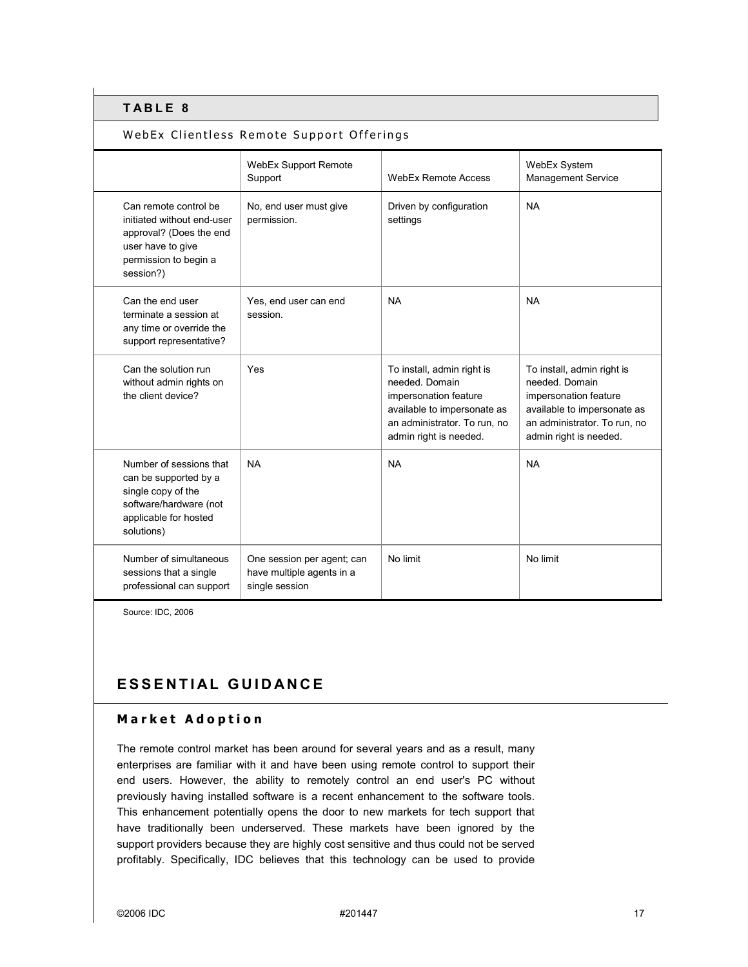### WebEx Clientless Remote Support Offerings

|                                                                                                                                           | WebEx Support Remote<br>Support                                           | <b>WebEx Remote Access</b>                                                                                                                                     | WebEx System<br>Management Service                                                                                                                             |
|-------------------------------------------------------------------------------------------------------------------------------------------|---------------------------------------------------------------------------|----------------------------------------------------------------------------------------------------------------------------------------------------------------|----------------------------------------------------------------------------------------------------------------------------------------------------------------|
| Can remote control be<br>initiated without end-user<br>approval? (Does the end<br>user have to give<br>permission to begin a<br>session?) | No, end user must give<br>permission.                                     | Driven by configuration<br>settings                                                                                                                            | <b>NA</b>                                                                                                                                                      |
| Can the end user<br>terminate a session at<br>any time or override the<br>support representative?                                         | Yes, end user can end<br>session.                                         | <b>NA</b>                                                                                                                                                      | <b>NA</b>                                                                                                                                                      |
| Can the solution run<br>without admin rights on<br>the client device?                                                                     | Yes                                                                       | To install, admin right is<br>needed. Domain<br>impersonation feature<br>available to impersonate as<br>an administrator. To run, no<br>admin right is needed. | To install, admin right is<br>needed. Domain<br>impersonation feature<br>available to impersonate as<br>an administrator. To run, no<br>admin right is needed. |
| Number of sessions that<br>can be supported by a<br>single copy of the<br>software/hardware (not<br>applicable for hosted<br>solutions)   | <b>NA</b>                                                                 | <b>NA</b>                                                                                                                                                      | <b>NA</b>                                                                                                                                                      |
| Number of simultaneous<br>sessions that a single<br>professional can support                                                              | One session per agent; can<br>have multiple agents in a<br>single session | No limit                                                                                                                                                       | No limit                                                                                                                                                       |

Source: IDC, 2006

# **ESSENTIAL GUIDANCE**

### **Market Adoption**

The remote control market has been around for several years and as a result, many enterprises are familiar with it and have been using remote control to support their end users. However, the ability to remotely control an end user's PC without previously having installed software is a recent enhancement to the software tools. This enhancement potentially opens the door to new markets for tech support that have traditionally been underserved. These markets have been ignored by the support providers because they are highly cost sensitive and thus could not be served profitably. Specifically, IDC believes that this technology can be used to provide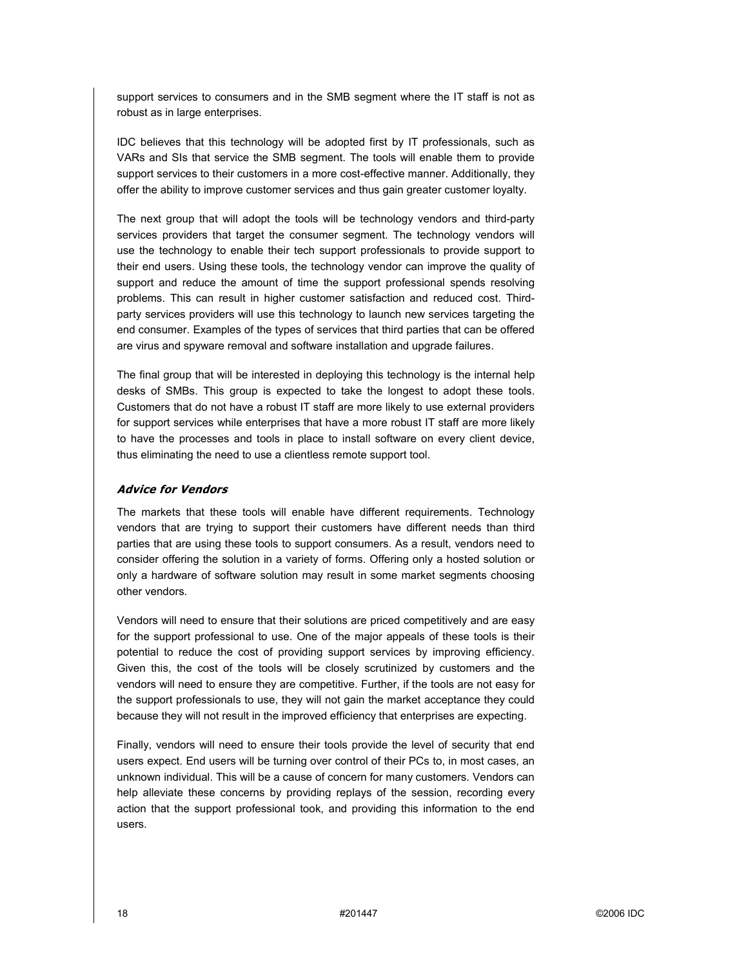support services to consumers and in the SMB segment where the IT staff is not as robust as in large enterprises.

IDC believes that this technology will be adopted first by IT professionals, such as VARs and SIs that service the SMB segment. The tools will enable them to provide support services to their customers in a more cost-effective manner. Additionally, they offer the ability to improve customer services and thus gain greater customer loyalty.

The next group that will adopt the tools will be technology vendors and third-party services providers that target the consumer segment. The technology vendors will use the technology to enable their tech support professionals to provide support to their end users. Using these tools, the technology vendor can improve the quality of support and reduce the amount of time the support professional spends resolving problems. This can result in higher customer satisfaction and reduced cost. Thirdparty services providers will use this technology to launch new services targeting the end consumer. Examples of the types of services that third parties that can be offered are virus and spyware removal and software installation and upgrade failures.

The final group that will be interested in deploying this technology is the internal help desks of SMBs. This group is expected to take the longest to adopt these tools. Customers that do not have a robust IT staff are more likely to use external providers for support services while enterprises that have a more robust IT staff are more likely to have the processes and tools in place to install software on every client device, thus eliminating the need to use a clientless remote support tool.

#### **Advice for Vendors**

The markets that these tools will enable have different requirements. Technology vendors that are trying to support their customers have different needs than third parties that are using these tools to support consumers. As a result, vendors need to consider offering the solution in a variety of forms. Offering only a hosted solution or only a hardware of software solution may result in some market segments choosing other vendors.

Vendors will need to ensure that their solutions are priced competitively and are easy for the support professional to use. One of the major appeals of these tools is their potential to reduce the cost of providing support services by improving efficiency. Given this, the cost of the tools will be closely scrutinized by customers and the vendors will need to ensure they are competitive. Further, if the tools are not easy for the support professionals to use, they will not gain the market acceptance they could because they will not result in the improved efficiency that enterprises are expecting.

Finally, vendors will need to ensure their tools provide the level of security that end users expect. End users will be turning over control of their PCs to, in most cases, an unknown individual. This will be a cause of concern for many customers. Vendors can help alleviate these concerns by providing replays of the session, recording every action that the support professional took, and providing this information to the end users.